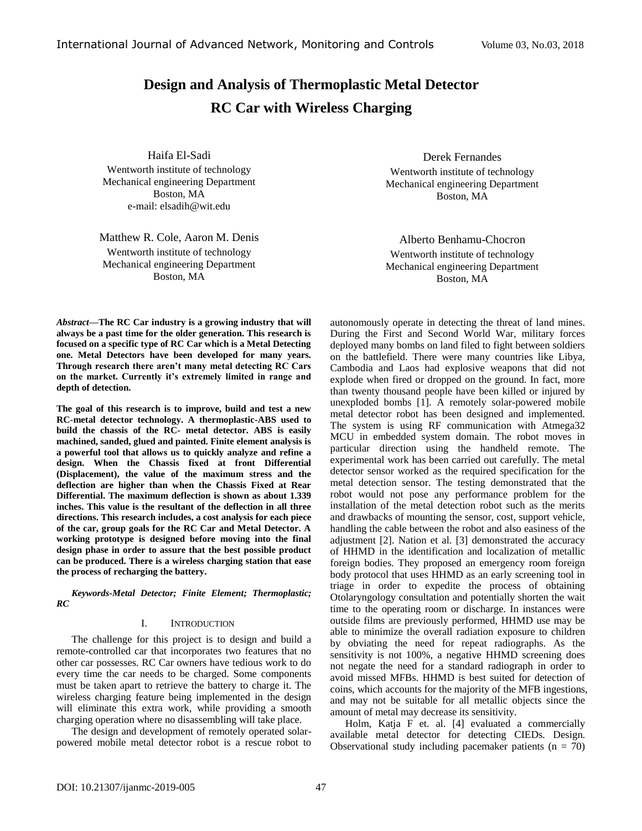# **Design and Analysis of Thermoplastic Metal Detector RC Car with Wireless Charging**

Haifa El-Sadi Wentworth institute of technology Mechanical engineering Department Boston, MA e-mail: elsadih@wit.edu

Matthew R. Cole, Aaron M. Denis Wentworth institute of technology Mechanical engineering Department Boston, MA

Derek Fernandes Wentworth institute of technology Mechanical engineering Department Boston, MA

Alberto Benhamu-Chocron Wentworth institute of technology Mechanical engineering Department Boston, MA

*Abstract—***The RC Car industry is a growing industry that will always be a past time for the older generation. This research is focused on a specific type of RC Car which is a Metal Detecting one. Metal Detectors have been developed for many years. Through research there aren't many metal detecting RC Cars on the market. Currently it's extremely limited in range and depth of detection.**

**The goal of this research is to improve, build and test a new RC-metal detector technology. A thermoplastic-ABS used to build the chassis of the RC- metal detector. ABS is easily machined, sanded, glued and painted. Finite element analysis is a powerful tool that allows us to quickly analyze and refine a design. When the Chassis fixed at front Differential (Displacement), the value of the maximum stress and the deflection are higher than when the Chassis Fixed at Rear Differential. The maximum deflection is shown as about 1.339 inches. This value is the resultant of the deflection in all three directions. This research includes, a cost analysis for each piece of the car, group goals for the RC Car and Metal Detector. A working prototype is designed before moving into the final design phase in order to assure that the best possible product can be produced. There is a wireless charging station that ease the process of recharging the battery.**

*Keywords-Metal Detector; Finite Element; Thermoplastic; RC*

### I. INTRODUCTION

The challenge for this project is to design and build a remote-controlled car that incorporates two features that no other car possesses. RC Car owners have tedious work to do every time the car needs to be charged. Some components must be taken apart to retrieve the battery to charge it. The wireless charging feature being implemented in the design will eliminate this extra work, while providing a smooth charging operation where no disassembling will take place.

The design and development of remotely operated solarpowered mobile metal detector robot is a rescue robot to autonomously operate in detecting the threat of land mines. During the First and Second World War, military forces deployed many bombs on land filed to fight between soldiers on the battlefield. There were many countries like Libya, Cambodia and Laos had explosive weapons that did not explode when fired or dropped on the ground. In fact, more than twenty thousand people have been killed or injured by unexploded bombs [1]. A remotely solar-powered mobile metal detector robot has been designed and implemented. The system is using RF communication with Atmega32 MCU in embedded system domain. The robot moves in particular direction using the handheld remote. The experimental work has been carried out carefully. The metal detector sensor worked as the required specification for the metal detection sensor. The testing demonstrated that the robot would not pose any performance problem for the installation of the metal detection robot such as the merits and drawbacks of mounting the sensor, cost, support vehicle, handling the cable between the robot and also easiness of the adjustment [2]. Nation et al. [3] demonstrated the accuracy of HHMD in the identification and localization of metallic foreign bodies. They proposed an emergency room foreign body protocol that uses HHMD as an early screening tool in triage in order to expedite the process of obtaining Otolaryngology consultation and potentially shorten the wait time to the operating room or discharge. In instances were outside films are previously performed, HHMD use may be able to minimize the overall radiation exposure to children by obviating the need for repeat radiographs. As the sensitivity is not 100%, a negative HHMD screening does not negate the need for a standard radiograph in order to avoid missed MFBs. HHMD is best suited for detection of coins, which accounts for the majority of the MFB ingestions, and may not be suitable for all metallic objects since the amount of metal may decrease its sensitivity.

Holm, Katja F et. al. [4] evaluated a commercially available metal detector for detecting CIEDs. Design. Observational study including pacemaker patients ( $n = 70$ )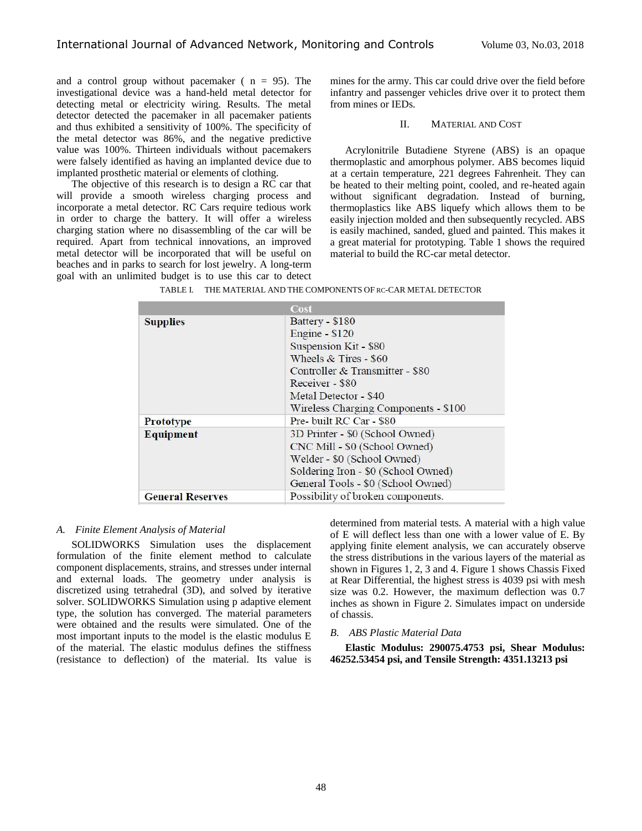and a control group without pacemaker ( $n = 95$ ). The investigational device was a hand-held metal detector for detecting metal or electricity wiring. Results. The metal detector detected the pacemaker in all pacemaker patients and thus exhibited a sensitivity of 100%. The specificity of the metal detector was 86%, and the negative predictive value was 100%. Thirteen individuals without pacemakers were falsely identified as having an implanted device due to implanted prosthetic material or elements of clothing.

The objective of this research is to design a RC car that will provide a smooth wireless charging process and incorporate a metal detector. RC Cars require tedious work in order to charge the battery. It will offer a wireless charging station where no disassembling of the car will be required. Apart from technical innovations, an improved metal detector will be incorporated that will be useful on beaches and in parks to search for lost jewelry. A long-term goal with an unlimited budget is to use this car to detect mines for the army. This car could drive over the field before infantry and passenger vehicles drive over it to protect them from mines or IEDs.

### II. MATERIAL AND COST

Acrylonitrile Butadiene Styrene (ABS) is an opaque thermoplastic and amorphous polymer. ABS becomes liquid at a certain temperature, 221 degrees Fahrenheit. They can be heated to their melting point, cooled, and re-heated again without significant degradation. Instead of burning, thermoplastics like ABS liquefy which allows them to be easily injection molded and then subsequently recycled. ABS is easily machined, sanded, glued and painted. This makes it a great material for prototyping. Table 1 shows the required material to build the RC-car metal detector.

|                         | Cost                                 |  |
|-------------------------|--------------------------------------|--|
| <b>Supplies</b>         | Battery - \$180                      |  |
|                         | Engine - \$120                       |  |
|                         | Suspension Kit - \$80                |  |
|                         | Wheels $&$ Tires - \$60              |  |
|                         | Controller & Transmitter - \$80      |  |
|                         | Receiver - \$80                      |  |
|                         | Metal Detector - \$40                |  |
|                         | Wireless Charging Components - \$100 |  |
| <b>Prototype</b>        | Pre-built RC Car - \$80              |  |
| <b>Equipment</b>        | 3D Printer - \$0 (School Owned)      |  |
|                         | CNC Mill - \$0 (School Owned)        |  |
|                         | Welder - \$0 (School Owned)          |  |
|                         | Soldering Iron - \$0 (School Owned)  |  |
|                         | General Tools - \$0 (School Owned)   |  |
| <b>General Reserves</b> | Possibility of broken components.    |  |

|  | TABLE I.      THE MATERIAL AND THE COMPONENTS OF RC-CAR METAL DETECTOR |  |
|--|------------------------------------------------------------------------|--|
|  |                                                                        |  |

# *A. Finite Element Analysis of Material*

SOLIDWORKS Simulation uses the displacement formulation of the finite element method to calculate component displacements, strains, and stresses under internal and external loads. The geometry under analysis is discretized using tetrahedral (3D), and solved by iterative solver. SOLIDWORKS Simulation using p adaptive element type, the solution has converged. The material parameters were obtained and the results were simulated. One of the most important inputs to the model is the elastic modulus E of the material. The elastic modulus defines the stiffness (resistance to deflection) of the material. Its value is

determined from material tests. A material with a high value of E will deflect less than one with a lower value of E. By applying finite element analysis, we can accurately observe the stress distributions in the various layers of the material as shown in Figures 1, 2, 3 and 4. Figure 1 shows Chassis Fixed at Rear Differential, the highest stress is 4039 psi with mesh size was 0.2. However, the maximum deflection was 0.7 inches as shown in Figure 2. Simulates impact on underside of chassis.

## *B. ABS Plastic Material Data*

**Elastic Modulus: 290075.4753 psi, Shear Modulus: 46252.53454 psi, and Tensile Strength: 4351.13213 psi**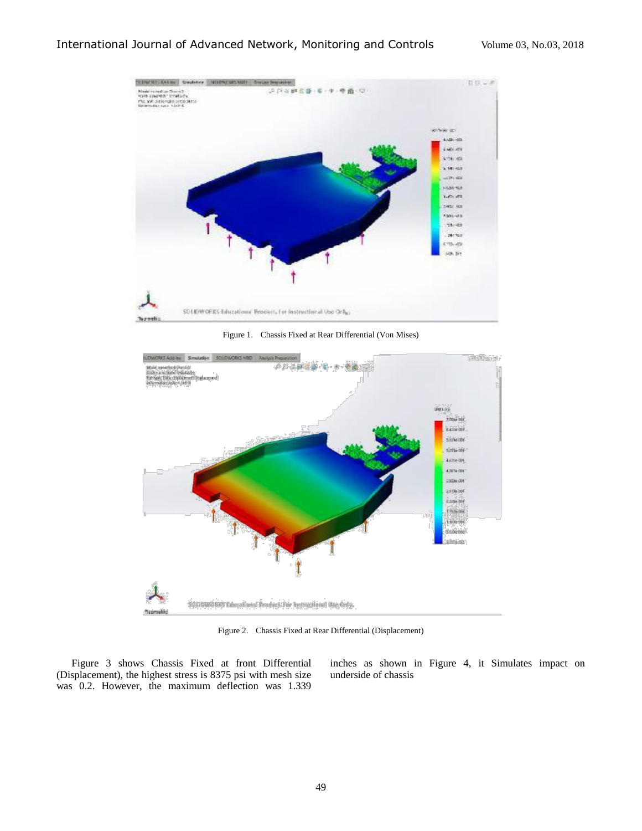

Figure 1. Chassis Fixed at Rear Differential (Von Mises)



Figure 2. Chassis Fixed at Rear Differential (Displacement)

Figure 3 shows Chassis Fixed at front Differential (Displacement), the highest stress is 8375 psi with mesh size was 0.2. However, the maximum deflection was 1.339

inches as shown in Figure 4, it Simulates impact on underside of chassis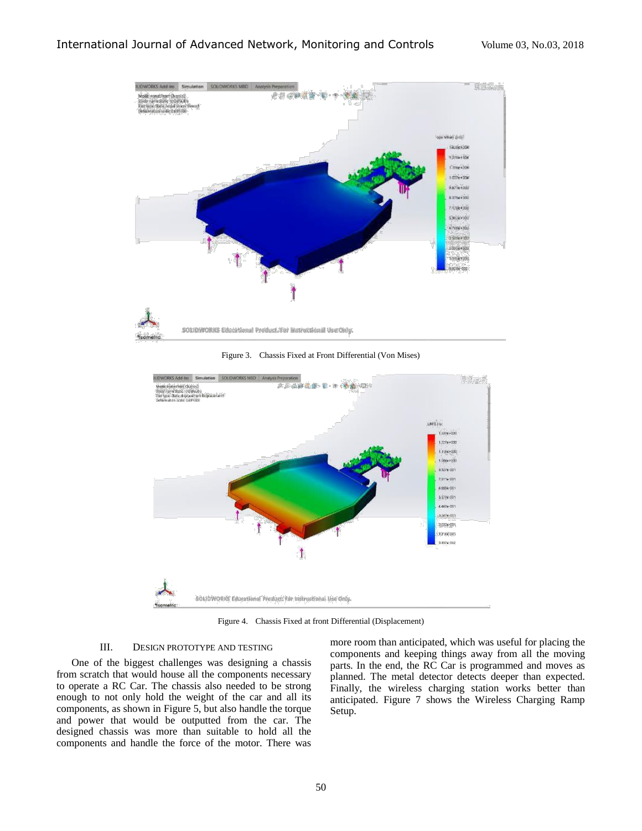

Figure 3. Chassis Fixed at Front Differential (Von Mises)



Figure 4. Chassis Fixed at front Differential (Displacement)

# III. DESIGN PROTOTYPE AND TESTING

One of the biggest challenges was designing a chassis from scratch that would house all the components necessary to operate a RC Car. The chassis also needed to be strong enough to not only hold the weight of the car and all its components, as shown in Figure 5, but also handle the torque and power that would be outputted from the car. The designed chassis was more than suitable to hold all the components and handle the force of the motor. There was

more room than anticipated, which was useful for placing the components and keeping things away from all the moving parts. In the end, the RC Car is programmed and moves as planned. The metal detector detects deeper than expected. Finally, the wireless charging station works better than anticipated. Figure 7 shows the Wireless Charging Ramp Setup.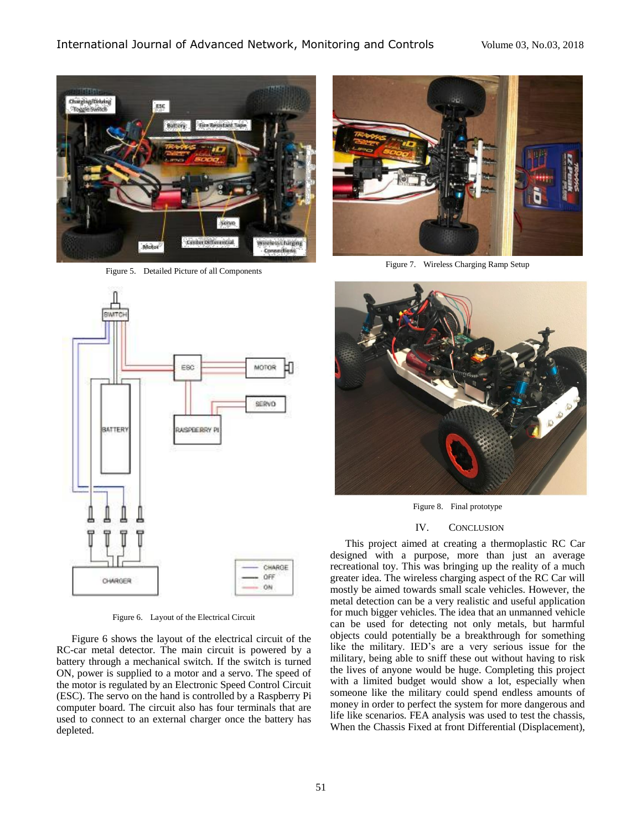

Figure 5. Detailed Picture of all Components



Figure 6. Layout of the Electrical Circuit

Figure 6 shows the layout of the electrical circuit of the RC-car metal detector. The main circuit is powered by a battery through a mechanical switch. If the switch is turned ON, power is supplied to a motor and a servo. The speed of the motor is regulated by an Electronic Speed Control Circuit (ESC). The servo on the hand is controlled by a Raspberry Pi computer board. The circuit also has four terminals that are used to connect to an external charger once the battery has depleted.



Figure 7. Wireless Charging Ramp Setup



Figure 8. Final prototype

## IV. CONCLUSION

This project aimed at creating a thermoplastic RC Car designed with a purpose, more than just an average recreational toy. This was bringing up the reality of a much greater idea. The wireless charging aspect of the RC Car will mostly be aimed towards small scale vehicles. However, the metal detection can be a very realistic and useful application for much bigger vehicles. The idea that an unmanned vehicle can be used for detecting not only metals, but harmful objects could potentially be a breakthrough for something like the military. IED's are a very serious issue for the military, being able to sniff these out without having to risk the lives of anyone would be huge. Completing this project with a limited budget would show a lot, especially when someone like the military could spend endless amounts of money in order to perfect the system for more dangerous and life like scenarios. FEA analysis was used to test the chassis, When the Chassis Fixed at front Differential (Displacement),